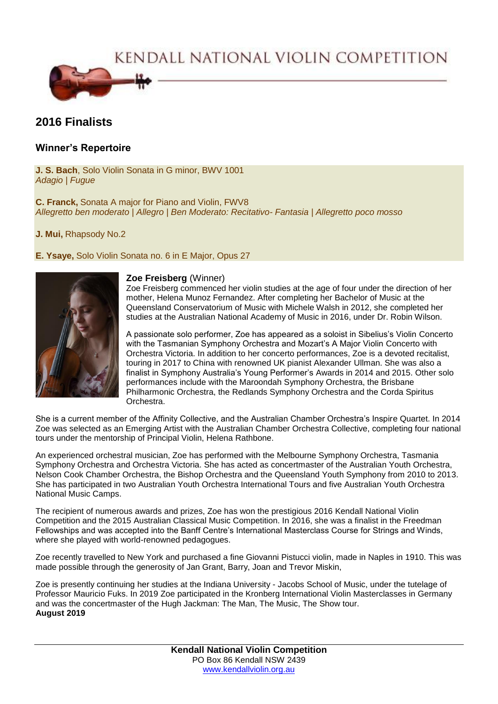KENDALL NATIONAL VIOLIN COMPETITION



# **2016 Finalists**

## **Winner's Repertoire**

**J. S. Bach**, Solo Violin Sonata in G minor, BWV 1001 *Adagio | Fugue*

**C. Franck,** Sonata A major for Piano and Violin, FWV8 *Allegretto ben moderato | Allegro | Ben Moderato: Recitativo- Fantasia | Allegretto poco mosso*

**J. Mui,** Rhapsody No.2

### **E. Ysaye,** Solo Violin Sonata no. 6 in E Major, Opus 27



#### **Zoe Freisberg** (Winner)

Zoe Freisberg commenced her violin studies at the age of four under the direction of her mother, Helena Munoz Fernandez. After completing her Bachelor of Music at the Queensland Conservatorium of Music with Michele Walsh in 2012, she completed her studies at the Australian National Academy of Music in 2016, under Dr. Robin Wilson.

A passionate solo performer, Zoe has appeared as a soloist in Sibelius's Violin Concerto with the Tasmanian Symphony Orchestra and Mozart's A Major Violin Concerto with Orchestra Victoria. In addition to her concerto performances, Zoe is a devoted recitalist, touring in 2017 to China with renowned UK pianist Alexander Ullman. She was also a finalist in Symphony Australia's Young Performer's Awards in 2014 and 2015. Other solo performances include with the Maroondah Symphony Orchestra, the Brisbane Philharmonic Orchestra, the Redlands Symphony Orchestra and the Corda Spiritus Orchestra.

She is a current member of the Affinity Collective, and the Australian Chamber Orchestra's Inspire Quartet. In 2014 Zoe was selected as an Emerging Artist with the Australian Chamber Orchestra Collective, completing four national tours under the mentorship of Principal Violin, Helena Rathbone.

An experienced orchestral musician, Zoe has performed with the Melbourne Symphony Orchestra, Tasmania Symphony Orchestra and Orchestra Victoria. She has acted as concertmaster of the Australian Youth Orchestra, Nelson Cook Chamber Orchestra, the Bishop Orchestra and the Queensland Youth Symphony from 2010 to 2013. She has participated in two Australian Youth Orchestra International Tours and five Australian Youth Orchestra National Music Camps.

The recipient of numerous awards and prizes, Zoe has won the prestigious 2016 Kendall National Violin Competition and the 2015 Australian Classical Music Competition. In 2016, she was a finalist in the Freedman Fellowships and was accepted into the Banff Centre's International Masterclass Course for Strings and Winds, where she played with world-renowned pedagogues.

Zoe recently travelled to New York and purchased a fine Giovanni Pistucci violin, made in Naples in 1910. This was made possible through the generosity of Jan Grant, Barry, Joan and Trevor Miskin,

Zoe is presently continuing her studies at the Indiana University - Jacobs School of Music, under the tutelage of Professor Mauricio Fuks. In 2019 Zoe participated in the Kronberg International Violin Masterclasses in Germany and was the concertmaster of the Hugh Jackman: The Man, The Music, The Show tour. **August 2019**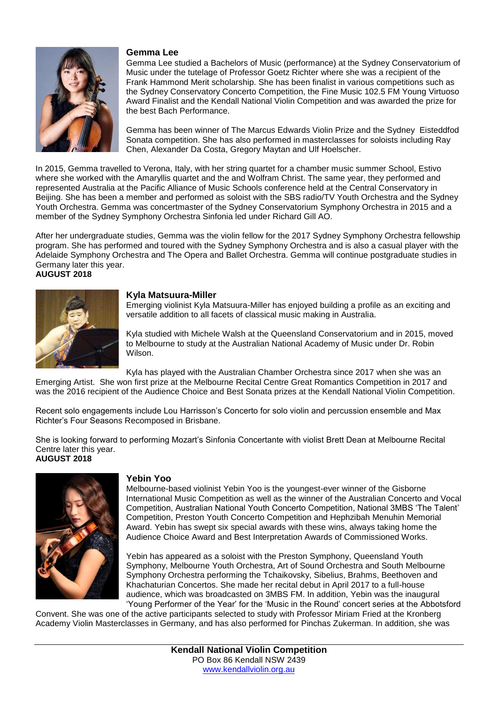

#### **Gemma Lee**

Gemma Lee studied a Bachelors of Music (performance) at the Sydney Conservatorium of Music under the tutelage of Professor Goetz Richter where she was a recipient of the Frank Hammond Merit scholarship. She has been finalist in various competitions such as the Sydney Conservatory Concerto Competition, the Fine Music 102.5 FM Young Virtuoso Award Finalist and the Kendall National Violin Competition and was awarded the prize for the best Bach Performance.

Gemma has been winner of The Marcus Edwards Violin Prize and the Sydney Eisteddfod Sonata competition. She has also performed in masterclasses for soloists including Ray Chen, Alexander Da Costa, Gregory Maytan and Ulf Hoelscher.

In 2015, Gemma travelled to Verona, Italy, with her string quartet for a chamber music summer School, Estivo where she worked with the Amaryllis quartet and the and Wolfram Christ. The same year, they performed and represented Australia at the Pacific Alliance of Music Schools conference held at the Central Conservatory in Beijing. She has been a member and performed as soloist with the SBS radio/TV Youth Orchestra and the Sydney Youth Orchestra. Gemma was concertmaster of the Sydney Conservatorium Symphony Orchestra in 2015 and a member of the Sydney Symphony Orchestra Sinfonia led under Richard Gill AO.

After her undergraduate studies, Gemma was the violin fellow for the 2017 Sydney Symphony Orchestra fellowship program. She has performed and toured with the Sydney Symphony Orchestra and is also a casual player with the Adelaide Symphony Orchestra and The Opera and Ballet Orchestra. Gemma will continue postgraduate studies in Germany later this year. **AUGUST 2018**



#### **Kyla Matsuura-Miller**

Emerging violinist Kyla Matsuura-Miller has enjoyed building a profile as an exciting and versatile addition to all facets of classical music making in Australia.

Kyla studied with Michele Walsh at the Queensland Conservatorium and in 2015, moved to Melbourne to study at the Australian National Academy of Music under Dr. Robin Wilson.

Kyla has played with the Australian Chamber Orchestra since 2017 when she was an

Emerging Artist. She won first prize at the Melbourne Recital Centre Great Romantics Competition in 2017 and was the 2016 recipient of the Audience Choice and Best Sonata prizes at the Kendall National Violin Competition.

Recent solo engagements include Lou Harrisson's Concerto for solo violin and percussion ensemble and Max Richter's Four Seasons Recomposed in Brisbane.

She is looking forward to performing Mozart's Sinfonia Concertante with violist Brett Dean at Melbourne Recital Centre later this year. **AUGUST 2018**



#### **Yebin Yoo**

Melbourne-based violinist Yebin Yoo is the youngest-ever winner of the Gisborne International Music Competition as well as the winner of the Australian Concerto and Vocal Competition, Australian National Youth Concerto Competition, National 3MBS 'The Talent' Competition, Preston Youth Concerto Competition and Hephzibah Menuhin Memorial Award. Yebin has swept six special awards with these wins, always taking home the Audience Choice Award and Best Interpretation Awards of Commissioned Works.

Yebin has appeared as a soloist with the Preston Symphony, Queensland Youth Symphony, Melbourne Youth Orchestra, Art of Sound Orchestra and South Melbourne Symphony Orchestra performing the Tchaikovsky, Sibelius, Brahms, Beethoven and Khachaturian Concertos. She made her recital debut in April 2017 to a full-house audience, which was broadcasted on 3MBS FM. In addition, Yebin was the inaugural 'Young Performer of the Year' for the 'Music in the Round' concert series at the Abbotsford

Convent. She was one of the active participants selected to study with Professor Miriam Fried at the Kronberg Academy Violin Masterclasses in Germany, and has also performed for Pinchas Zukerman. In addition, she was